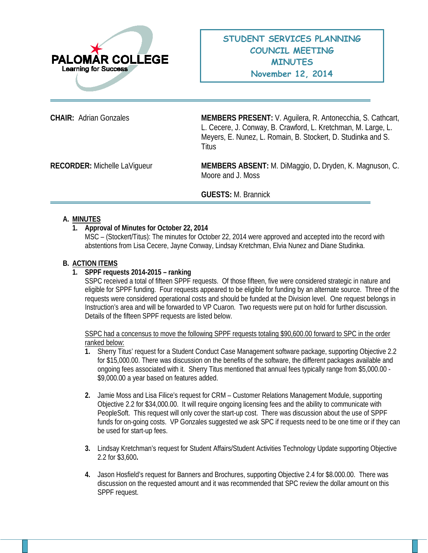

**CHAIR:** Adrian Gonzales **MEMBERS PRESENT:** V. Aguilera, R. Antonecchia, S. Cathcart, L. Cecere, J. Conway, B. Crawford, L. Kretchman, M. Large, L. Meyers, E. Nunez, L. Romain, B. Stockert, D. Studinka and S. **Titus** 

**RECORDER:** Michelle LaVigueur **MEMBERS ABSENT:** M. DiMaggio, D**.** Dryden, K. Magnuson, C. Moore and J. Moss

**GUESTS:** M. Brannick

# **A. MINUTES**

# **1. Approval of Minutes for October 22, 2014**

MSC – (Stockert/Titus): The minutes for October 22, 2014 were approved and accepted into the record with abstentions from Lisa Cecere, Jayne Conway, Lindsay Kretchman, Elvia Nunez and Diane Studinka.

# **B. ACTION ITEMS**

# **1. SPPF requests 2014-2015 – ranking**

SSPC received a total of fifteen SPPF requests. Of those fifteen, five were considered strategic in nature and eligible for SPPF funding. Four requests appeared to be eligible for funding by an alternate source. Three of the requests were considered operational costs and should be funded at the Division level. One request belongs in Instruction's area and will be forwarded to VP Cuaron. Two requests were put on hold for further discussion. Details of the fifteen SPPF requests are listed below.

SSPC had a concensus to move the following SPPF requests totaling \$90,600.00 forward to SPC in the order ranked below:

- **1.** Sherry Titus' request for a Student Conduct Case Management software package, supporting Objective 2.2 for \$15,000.00. There was discussion on the benefits of the software, the different packages available and ongoing fees associated with it. Sherry Titus mentioned that annual fees typically range from \$5,000.00 - \$9,000.00 a year based on features added.
- **2.** Jamie Moss and Lisa Filice's request for CRM Customer Relations Management Module, supporting Objective 2.2 for \$34,000.00. It will require ongoing licensing fees and the ability to communicate with PeopleSoft. This request will only cover the start-up cost. There was discussion about the use of SPPF funds for on-going costs. VP Gonzales suggested we ask SPC if requests need to be one time or if they can be used for start-up fees.
- **3.** Lindsay Kretchman's request for Student Affairs/Student Activities Technology Update supporting Objective 2.2 for \$3,600**.**
- **4.** Jason Hosfield's request for Banners and Brochures, supporting Objective 2.4 for \$8.000.00. There was discussion on the requested amount and it was recommended that SPC review the dollar amount on this SPPF request.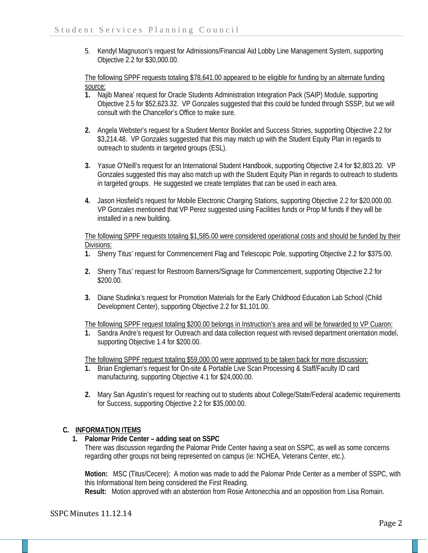5. Kendyl Magnuson's request for Admissions/Financial Aid Lobby Line Management System, supporting Objective 2.2 for \$30,000.00.

The following SPPF requests totaling \$78,641.00 appeared to be eligible for funding by an alternate funding source:<br>1. Na

- **1.** Najib Manea' request for Oracle Students Administration Integration Pack (SAIP) Module, supporting Objective 2.5 for \$52,623.32. VP Gonzales suggested that this could be funded through SSSP, but we will consult with the Chancellor's Office to make sure.
- **2.** Angela Webster's request for a Student Mentor Booklet and Success Stories, supporting Objective 2.2 for \$3,214.48. VP Gonzales suggested that this may match up with the Student Equity Plan in regards to outreach to students in targeted groups (ESL).
- **3.** Yasue O'Neill's request for an International Student Handbook, supporting Objective 2.4 for \$2,803.20. VP Gonzales suggested this may also match up with the Student Equity Plan in regards to outreach to students in targeted groups. He suggested we create templates that can be used in each area.
- **4.** Jason Hosfield's request for Mobile Electronic Charging Stations, supporting Objective 2.2 for \$20,000.00. VP Gonzales mentioned that VP Perez suggested using Facilities funds or Prop M funds if they will be installed in a new building.

The following SPPF requests totaling \$1,585.00 were considered operational costs and should be funded by their Divisions:

- **1.** Sherry Titus' request for Commencement Flag and Telescopic Pole, supporting Objective 2.2 for \$375.00.
- **2.** Sherry Titus' request for Restroom Banners/Signage for Commencement, supporting Objective 2.2 for \$200.00.
- **3.** Diane Studinka's request for Promotion Materials for the Early Childhood Education Lab School (Child Development Center), supporting Objective 2.2 for \$1,101.00.

The following SPPF request totaling \$200.00 belongs in Instruction's area and will be forwarded to VP Cuaron:

**1.** Sandra Andre's request for Outreach and data collection request with revised department orientation model, supporting Objective 1.4 for \$200.00.

The following SPPF request totaling \$59,000.00 were approved to be taken back for more discussion:

- **1.** Brian Engleman's request for On-site & Portable Live Scan Processing & Staff/Faculty ID card manufacturing, supporting Objective 4.1 for \$24,000.00.
- **2.** Mary San Agustin's request for reaching out to students about College/State/Federal academic requirements for Success, supporting Objective 2.2 for \$35,000.00.

# **C. INFORMATION ITEMS**

# **1. Palomar Pride Center – adding seat on SSPC**

There was discussion regarding the Palomar Pride Center having a seat on SSPC, as well as some concerns regarding other groups not being represented on campus (ie: NCHEA, Veterans Center, etc.).

**Motion:** MSC (Titus/Cecere): A motion was made to add the Palomar Pride Center as a member of SSPC, with this Informational Item being considered the First Reading.

**Result:** Motion approved with an abstention from Rosie Antonecchia and an opposition from Lisa Romain.